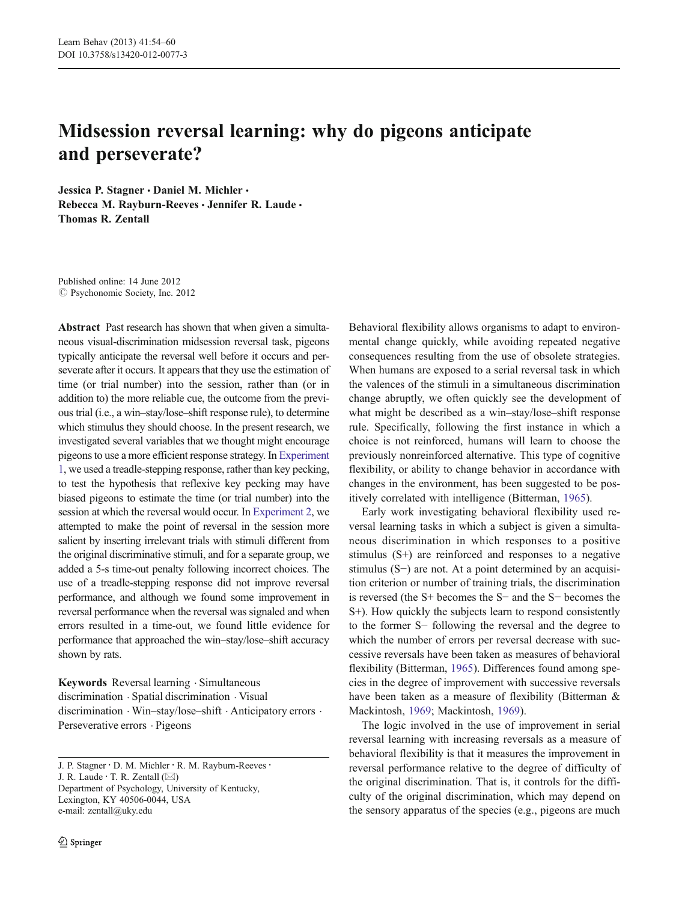# Midsession reversal learning: why do pigeons anticipate and perseverate?

Jessica P. Stagner · Daniel M. Michler · Rebecca M. Rayburn-Reeves · Jennifer R. Laude · Thomas R. Zentall

Published online: 14 June 2012  $\odot$  Psychonomic Society, Inc. 2012

Abstract Past research has shown that when given a simultaneous visual-discrimination midsession reversal task, pigeons typically anticipate the reversal well before it occurs and perseverate after it occurs. It appears that they use the estimation of time (or trial number) into the session, rather than (or in addition to) the more reliable cue, the outcome from the previous trial (i.e., a win–stay/lose–shift response rule), to determine which stimulus they should choose. In the present research, we investigated several variables that we thought might encourage pigeons to use a more efficient response strategy. In [Experiment](#page-1-0) [1,](#page-1-0) we used a treadle-stepping response, rather than key pecking, to test the hypothesis that reflexive key pecking may have biased pigeons to estimate the time (or trial number) into the session at which the reversal would occur. In [Experiment 2](#page-3-0), we attempted to make the point of reversal in the session more salient by inserting irrelevant trials with stimuli different from the original discriminative stimuli, and for a separate group, we added a 5-s time-out penalty following incorrect choices. The use of a treadle-stepping response did not improve reversal performance, and although we found some improvement in reversal performance when the reversal was signaled and when errors resulted in a time-out, we found little evidence for performance that approached the win–stay/lose–shift accuracy shown by rats.

Keywords Reversal learning . Simultaneous discrimination . Spatial discrimination . Visual discrimination . Win–stay/lose–shift . Anticipatory errors . Perseverative errors . Pigeons

J. R. Laude  $\cdot$  T. R. Zentall ( $\boxtimes$ )

Department of Psychology, University of Kentucky, Lexington, KY 40506-0044, USA e-mail: zentall@uky.edu

Behavioral flexibility allows organisms to adapt to environmental change quickly, while avoiding repeated negative consequences resulting from the use of obsolete strategies. When humans are exposed to a serial reversal task in which the valences of the stimuli in a simultaneous discrimination change abruptly, we often quickly see the development of what might be described as a win–stay/lose–shift response rule. Specifically, following the first instance in which a choice is not reinforced, humans will learn to choose the previously nonreinforced alternative. This type of cognitive flexibility, or ability to change behavior in accordance with changes in the environment, has been suggested to be positively correlated with intelligence (Bitterman, [1965](#page-6-0)).

Early work investigating behavioral flexibility used reversal learning tasks in which a subject is given a simultaneous discrimination in which responses to a positive stimulus (S+) are reinforced and responses to a negative stimulus (S−) are not. At a point determined by an acquisition criterion or number of training trials, the discrimination is reversed (the S+ becomes the S− and the S− becomes the S+). How quickly the subjects learn to respond consistently to the former S− following the reversal and the degree to which the number of errors per reversal decrease with successive reversals have been taken as measures of behavioral flexibility (Bitterman, [1965](#page-6-0)). Differences found among species in the degree of improvement with successive reversals have been taken as a measure of flexibility (Bitterman & Mackintosh, [1969](#page-6-0); Mackintosh, [1969](#page-6-0)).

The logic involved in the use of improvement in serial reversal learning with increasing reversals as a measure of behavioral flexibility is that it measures the improvement in reversal performance relative to the degree of difficulty of the original discrimination. That is, it controls for the difficulty of the original discrimination, which may depend on the sensory apparatus of the species (e.g., pigeons are much

J. P. Stagner · D. M. Michler · R. M. Rayburn-Reeves ·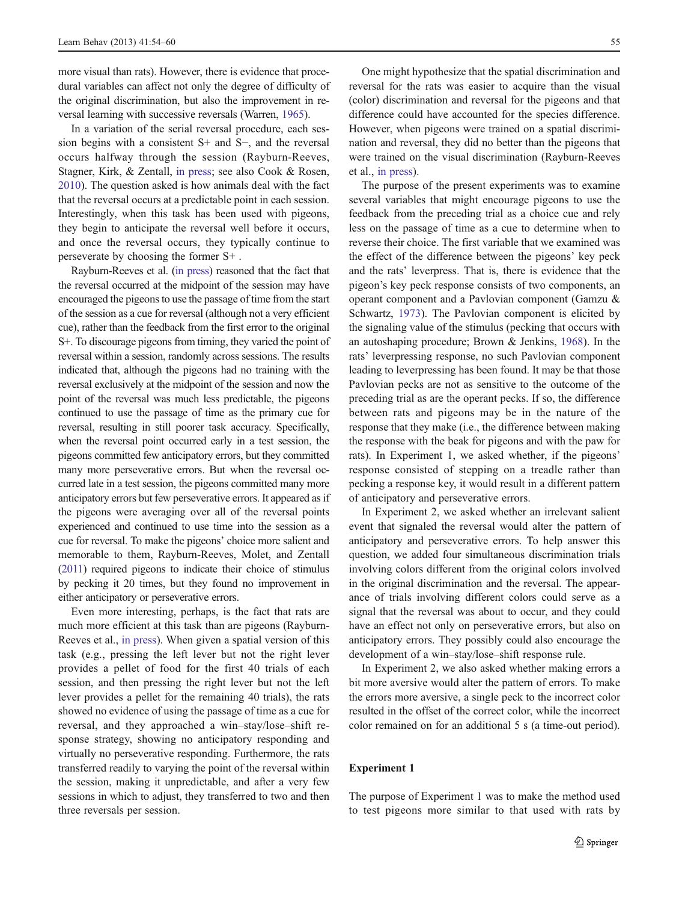<span id="page-1-0"></span>more visual than rats). However, there is evidence that procedural variables can affect not only the degree of difficulty of the original discrimination, but also the improvement in reversal learning with successive reversals (Warren, [1965\)](#page-6-0).

In a variation of the serial reversal procedure, each session begins with a consistent S+ and S−, and the reversal occurs halfway through the session (Rayburn-Reeves, Stagner, Kirk, & Zentall, [in press;](#page-6-0) see also Cook & Rosen, [2010\)](#page-6-0). The question asked is how animals deal with the fact that the reversal occurs at a predictable point in each session. Interestingly, when this task has been used with pigeons, they begin to anticipate the reversal well before it occurs, and once the reversal occurs, they typically continue to perseverate by choosing the former S+ .

Rayburn-Reeves et al. ([in press](#page-6-0)) reasoned that the fact that the reversal occurred at the midpoint of the session may have encouraged the pigeons to use the passage of time from the start of the session as a cue for reversal (although not a very efficient cue), rather than the feedback from the first error to the original S+. To discourage pigeons from timing, they varied the point of reversal within a session, randomly across sessions. The results indicated that, although the pigeons had no training with the reversal exclusively at the midpoint of the session and now the point of the reversal was much less predictable, the pigeons continued to use the passage of time as the primary cue for reversal, resulting in still poorer task accuracy. Specifically, when the reversal point occurred early in a test session, the pigeons committed few anticipatory errors, but they committed many more perseverative errors. But when the reversal occurred late in a test session, the pigeons committed many more anticipatory errors but few perseverative errors. It appeared as if the pigeons were averaging over all of the reversal points experienced and continued to use time into the session as a cue for reversal. To make the pigeons' choice more salient and memorable to them, Rayburn-Reeves, Molet, and Zentall [\(2011\)](#page-6-0) required pigeons to indicate their choice of stimulus by pecking it 20 times, but they found no improvement in either anticipatory or perseverative errors.

Even more interesting, perhaps, is the fact that rats are much more efficient at this task than are pigeons (Rayburn-Reeves et al., [in press](#page-6-0)). When given a spatial version of this task (e.g., pressing the left lever but not the right lever provides a pellet of food for the first 40 trials of each session, and then pressing the right lever but not the left lever provides a pellet for the remaining 40 trials), the rats showed no evidence of using the passage of time as a cue for reversal, and they approached a win–stay/lose–shift response strategy, showing no anticipatory responding and virtually no perseverative responding. Furthermore, the rats transferred readily to varying the point of the reversal within the session, making it unpredictable, and after a very few sessions in which to adjust, they transferred to two and then three reversals per session.

One might hypothesize that the spatial discrimination and reversal for the rats was easier to acquire than the visual (color) discrimination and reversal for the pigeons and that difference could have accounted for the species difference. However, when pigeons were trained on a spatial discrimination and reversal, they did no better than the pigeons that were trained on the visual discrimination (Rayburn-Reeves et al., [in press](#page-6-0)).

The purpose of the present experiments was to examine several variables that might encourage pigeons to use the feedback from the preceding trial as a choice cue and rely less on the passage of time as a cue to determine when to reverse their choice. The first variable that we examined was the effect of the difference between the pigeons' key peck and the rats' leverpress. That is, there is evidence that the pigeon's key peck response consists of two components, an operant component and a Pavlovian component (Gamzu & Schwartz, [1973](#page-6-0)). The Pavlovian component is elicited by the signaling value of the stimulus (pecking that occurs with an autoshaping procedure; Brown & Jenkins, [1968\)](#page-6-0). In the rats' leverpressing response, no such Pavlovian component leading to leverpressing has been found. It may be that those Pavlovian pecks are not as sensitive to the outcome of the preceding trial as are the operant pecks. If so, the difference between rats and pigeons may be in the nature of the response that they make (i.e., the difference between making the response with the beak for pigeons and with the paw for rats). In Experiment 1, we asked whether, if the pigeons' response consisted of stepping on a treadle rather than pecking a response key, it would result in a different pattern of anticipatory and perseverative errors.

In Experiment 2, we asked whether an irrelevant salient event that signaled the reversal would alter the pattern of anticipatory and perseverative errors. To help answer this question, we added four simultaneous discrimination trials involving colors different from the original colors involved in the original discrimination and the reversal. The appearance of trials involving different colors could serve as a signal that the reversal was about to occur, and they could have an effect not only on perseverative errors, but also on anticipatory errors. They possibly could also encourage the development of a win–stay/lose–shift response rule.

In Experiment 2, we also asked whether making errors a bit more aversive would alter the pattern of errors. To make the errors more aversive, a single peck to the incorrect color resulted in the offset of the correct color, while the incorrect color remained on for an additional 5 s (a time-out period).

#### Experiment 1

The purpose of Experiment 1 was to make the method used to test pigeons more similar to that used with rats by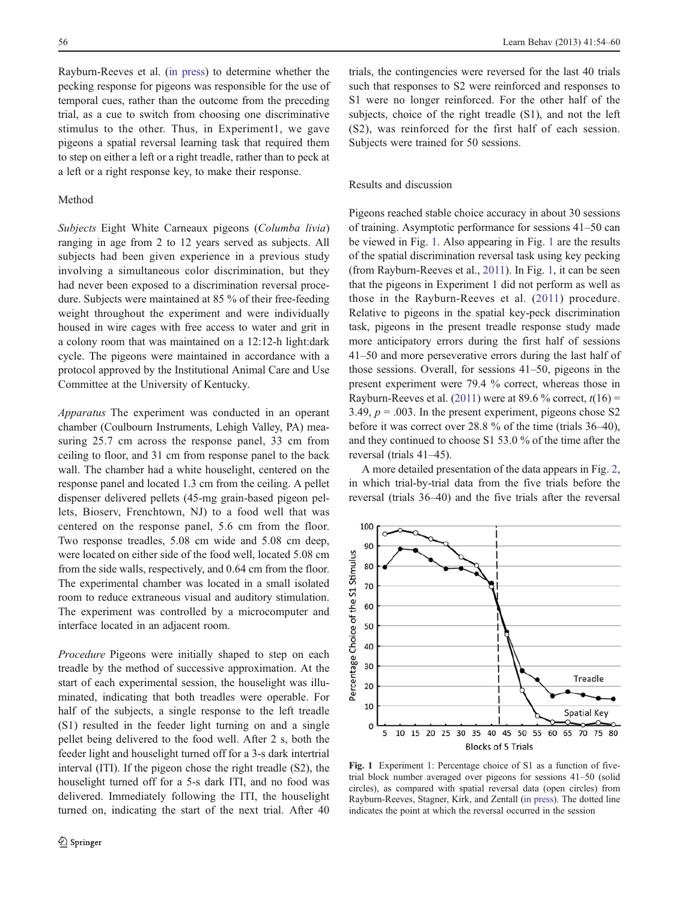<span id="page-2-0"></span>Rayburn-Reeves et al. [\(in press\)](#page-6-0) to determine whether the pecking response for pigeons was responsible for the use of temporal cues, rather than the outcome from the preceding trial, as a cue to switch from choosing one discriminative stimulus to the other. Thus, in Experiment1, we gave pigeons a spatial reversal learning task that required them to step on either a left or a right treadle, rather than to peck at a left or a right response key, to make their response.

## Method

Subjects Eight White Carneaux pigeons (Columba livia) ranging in age from 2 to 12 years served as subjects. All subjects had been given experience in a previous study involving a simultaneous color discrimination, but they had never been exposed to a discrimination reversal procedure. Subjects were maintained at 85 % of their free-feeding weight throughout the experiment and were individually housed in wire cages with free access to water and grit in a colony room that was maintained on a 12:12-h light:dark cycle. The pigeons were maintained in accordance with a protocol approved by the Institutional Animal Care and Use Committee at the University of Kentucky.

Apparatus The experiment was conducted in an operant chamber (Coulbourn Instruments, Lehigh Valley, PA) measuring 25.7 cm across the response panel, 33 cm from ceiling to floor, and 31 cm from response panel to the back wall. The chamber had a white houselight, centered on the response panel and located 1.3 cm from the ceiling. A pellet dispenser delivered pellets (45-mg grain-based pigeon pellets, Bioserv, Frenchtown, NJ) to a food well that was centered on the response panel, 5.6 cm from the floor. Two response treadles, 5.08 cm wide and 5.08 cm deep, were located on either side of the food well, located 5.08 cm from the side walls, respectively, and 0.64 cm from the floor. The experimental chamber was located in a small isolated room to reduce extraneous visual and auditory stimulation. The experiment was controlled by a microcomputer and interface located in an adjacent room.

Procedure Pigeons were initially shaped to step on each treadle by the method of successive approximation. At the start of each experimental session, the houselight was illuminated, indicating that both treadles were operable. For half of the subjects, a single response to the left treadle (S1) resulted in the feeder light turning on and a single pellet being delivered to the food well. After 2 s, both the feeder light and houselight turned off for a 3-s dark intertrial interval (ITI). If the pigeon chose the right treadle (S2), the houselight turned off for a 5-s dark ITI, and no food was delivered. Immediately following the ITI, the houselight turned on, indicating the start of the next trial. After 40

trials, the contingencies were reversed for the last 40 trials such that responses to S2 were reinforced and responses to S1 were no longer reinforced. For the other half of the subjects, choice of the right treadle (S1), and not the left (S2), was reinforced for the first half of each session. Subjects were trained for 50 sessions.

## Results and discussion

Pigeons reached stable choice accuracy in about 30 sessions of training. Asymptotic performance for sessions 41–50 can be viewed in Fig. 1. Also appearing in Fig. 1 are the results of the spatial discrimination reversal task using key pecking (from Rayburn-Reeves et al., [2011](#page-6-0)). In Fig. 1, it can be seen that the pigeons in Experiment 1 did not perform as well as those in the Rayburn-Reeves et al. [\(2011](#page-6-0)) procedure. Relative to pigeons in the spatial key-peck discrimination task, pigeons in the present treadle response study made more anticipatory errors during the first half of sessions 41–50 and more perseverative errors during the last half of those sessions. Overall, for sessions 41–50, pigeons in the present experiment were 79.4 % correct, whereas those in Rayburn-Reeves et al. ([2011\)](#page-6-0) were at 89.6 % correct,  $t(16)$  = 3.49,  $p = 0.003$ . In the present experiment, pigeons chose S2 before it was correct over 28.8 % of the time (trials 36–40), and they continued to choose S1 53.0 % of the time after the reversal (trials 41–45).

A more detailed presentation of the data appears in Fig. [2,](#page-3-0) in which trial-by-trial data from the five trials before the reversal (trials 36–40) and the five trials after the reversal



Fig. 1 Experiment 1: Percentage choice of S1 as a function of fivetrial block number averaged over pigeons for sessions 41–50 (solid circles), as compared with spatial reversal data (open circles) from Rayburn-Reeves, Stagner, Kirk, and Zentall ([in press\)](#page-6-0). The dotted line indicates the point at which the reversal occurred in the session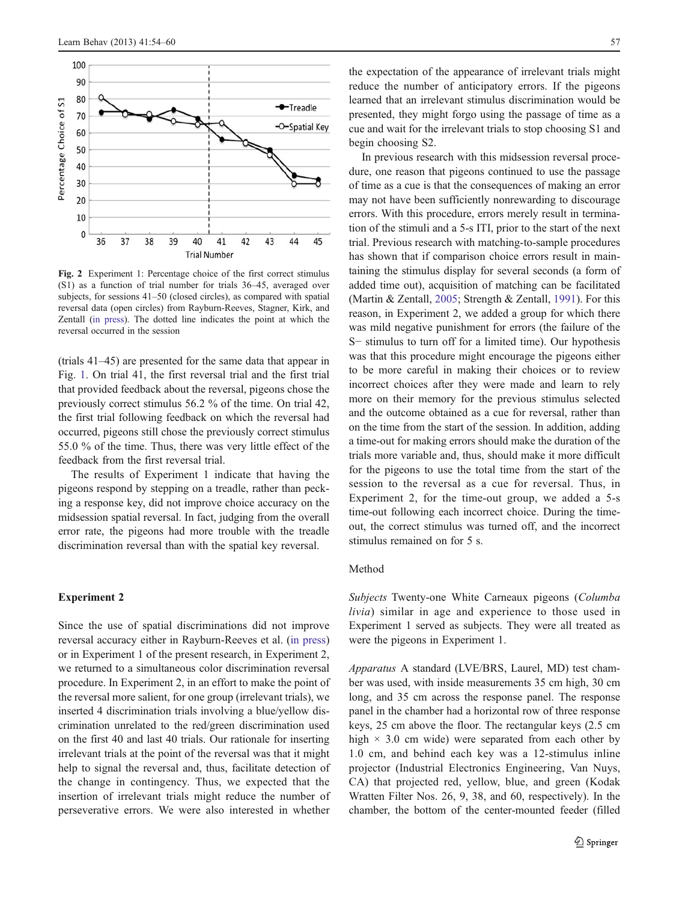<span id="page-3-0"></span>

Fig. 2 Experiment 1: Percentage choice of the first correct stimulus (S1) as a function of trial number for trials 36–45, averaged over subjects, for sessions 41–50 (closed circles), as compared with spatial reversal data (open circles) from Rayburn-Reeves, Stagner, Kirk, and Zentall [\(in press\)](#page-6-0). The dotted line indicates the point at which the reversal occurred in the session

(trials 41–45) are presented for the same data that appear in Fig. [1](#page-2-0). On trial 41, the first reversal trial and the first trial that provided feedback about the reversal, pigeons chose the previously correct stimulus 56.2 % of the time. On trial 42, the first trial following feedback on which the reversal had occurred, pigeons still chose the previously correct stimulus 55.0 % of the time. Thus, there was very little effect of the feedback from the first reversal trial.

The results of Experiment 1 indicate that having the pigeons respond by stepping on a treadle, rather than pecking a response key, did not improve choice accuracy on the midsession spatial reversal. In fact, judging from the overall error rate, the pigeons had more trouble with the treadle discrimination reversal than with the spatial key reversal.

## Experiment 2

Since the use of spatial discriminations did not improve reversal accuracy either in Rayburn-Reeves et al. ([in press\)](#page-6-0) or in Experiment 1 of the present research, in Experiment 2, we returned to a simultaneous color discrimination reversal procedure. In Experiment 2, in an effort to make the point of the reversal more salient, for one group (irrelevant trials), we inserted 4 discrimination trials involving a blue/yellow discrimination unrelated to the red/green discrimination used on the first 40 and last 40 trials. Our rationale for inserting irrelevant trials at the point of the reversal was that it might help to signal the reversal and, thus, facilitate detection of the change in contingency. Thus, we expected that the insertion of irrelevant trials might reduce the number of perseverative errors. We were also interested in whether

the expectation of the appearance of irrelevant trials might reduce the number of anticipatory errors. If the pigeons learned that an irrelevant stimulus discrimination would be presented, they might forgo using the passage of time as a cue and wait for the irrelevant trials to stop choosing S1 and begin choosing S2.

In previous research with this midsession reversal procedure, one reason that pigeons continued to use the passage of time as a cue is that the consequences of making an error may not have been sufficiently nonrewarding to discourage errors. With this procedure, errors merely result in termination of the stimuli and a 5-s ITI, prior to the start of the next trial. Previous research with matching-to-sample procedures has shown that if comparison choice errors result in maintaining the stimulus display for several seconds (a form of added time out), acquisition of matching can be facilitated (Martin & Zentall, [2005;](#page-6-0) Strength & Zentall, [1991\)](#page-6-0). For this reason, in Experiment 2, we added a group for which there was mild negative punishment for errors (the failure of the S− stimulus to turn off for a limited time). Our hypothesis was that this procedure might encourage the pigeons either to be more careful in making their choices or to review incorrect choices after they were made and learn to rely more on their memory for the previous stimulus selected and the outcome obtained as a cue for reversal, rather than on the time from the start of the session. In addition, adding a time-out for making errors should make the duration of the trials more variable and, thus, should make it more difficult for the pigeons to use the total time from the start of the session to the reversal as a cue for reversal. Thus, in Experiment 2, for the time-out group, we added a 5-s time-out following each incorrect choice. During the timeout, the correct stimulus was turned off, and the incorrect stimulus remained on for 5 s.

## Method

Subjects Twenty-one White Carneaux pigeons (Columba livia) similar in age and experience to those used in Experiment 1 served as subjects. They were all treated as were the pigeons in Experiment 1.

Apparatus A standard (LVE/BRS, Laurel, MD) test chamber was used, with inside measurements 35 cm high, 30 cm long, and 35 cm across the response panel. The response panel in the chamber had a horizontal row of three response keys, 25 cm above the floor. The rectangular keys (2.5 cm high  $\times$  3.0 cm wide) were separated from each other by 1.0 cm, and behind each key was a 12-stimulus inline projector (Industrial Electronics Engineering, Van Nuys, CA) that projected red, yellow, blue, and green (Kodak Wratten Filter Nos. 26, 9, 38, and 60, respectively). In the chamber, the bottom of the center-mounted feeder (filled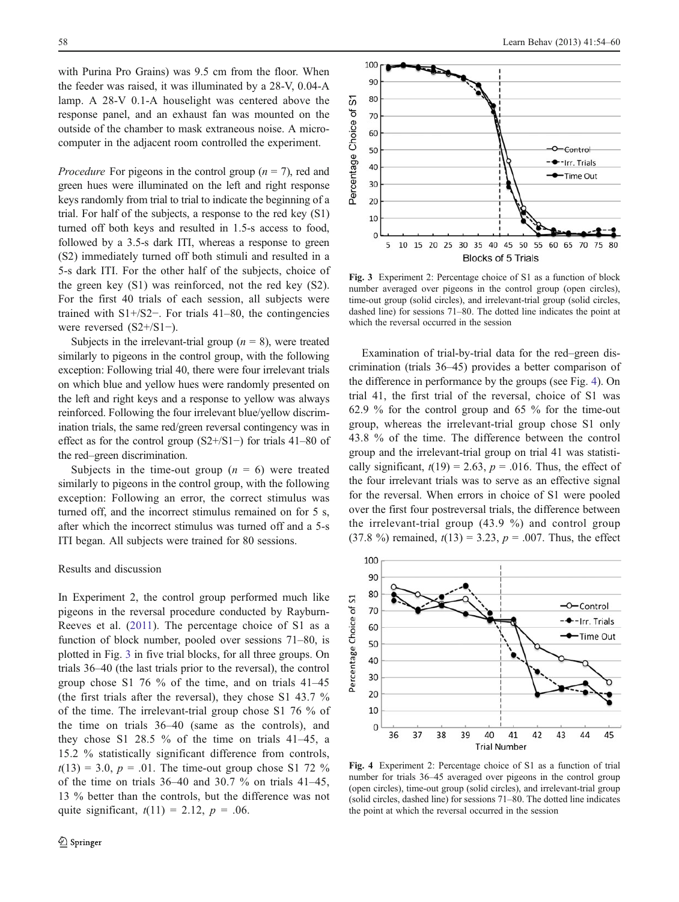with Purina Pro Grains) was 9.5 cm from the floor. When the feeder was raised, it was illuminated by a 28-V, 0.04-A lamp. A 28-V 0.1-A houselight was centered above the response panel, and an exhaust fan was mounted on the outside of the chamber to mask extraneous noise. A microcomputer in the adjacent room controlled the experiment.

*Procedure* For pigeons in the control group ( $n = 7$ ), red and green hues were illuminated on the left and right response keys randomly from trial to trial to indicate the beginning of a trial. For half of the subjects, a response to the red key (S1) turned off both keys and resulted in 1.5-s access to food, followed by a 3.5-s dark ITI, whereas a response to green (S2) immediately turned off both stimuli and resulted in a 5-s dark ITI. For the other half of the subjects, choice of the green key (S1) was reinforced, not the red key (S2). For the first 40 trials of each session, all subjects were trained with S1+/S2−. For trials 41–80, the contingencies were reversed (S2+/S1−).

Subjects in the irrelevant-trial group ( $n = 8$ ), were treated similarly to pigeons in the control group, with the following exception: Following trial 40, there were four irrelevant trials on which blue and yellow hues were randomly presented on the left and right keys and a response to yellow was always reinforced. Following the four irrelevant blue/yellow discrimination trials, the same red/green reversal contingency was in effect as for the control group (S2+/S1−) for trials 41–80 of the red–green discrimination.

Subjects in the time-out group  $(n = 6)$  were treated similarly to pigeons in the control group, with the following exception: Following an error, the correct stimulus was turned off, and the incorrect stimulus remained on for 5 s, after which the incorrect stimulus was turned off and a 5-s ITI began. All subjects were trained for 80 sessions.

#### Results and discussion

In Experiment 2, the control group performed much like pigeons in the reversal procedure conducted by Rayburn-Reeves et al. [\(2011](#page-6-0)). The percentage choice of S1 as a function of block number, pooled over sessions 71–80, is plotted in Fig. 3 in five trial blocks, for all three groups. On trials 36–40 (the last trials prior to the reversal), the control group chose S1 76 % of the time, and on trials 41–45 (the first trials after the reversal), they chose S1 43.7 % of the time. The irrelevant-trial group chose S1 76 % of the time on trials 36–40 (same as the controls), and they chose S1 28.5 % of the time on trials 41–45, a 15.2 % statistically significant difference from controls,  $t(13) = 3.0, p = .01$ . The time-out group chose S1 72 % of the time on trials  $36-40$  and  $30.7$  % on trials  $41-45$ , 13 % better than the controls, but the difference was not quite significant,  $t(11) = 2.12$ ,  $p = .06$ .



Fig. 3 Experiment 2: Percentage choice of S1 as a function of block number averaged over pigeons in the control group (open circles), time-out group (solid circles), and irrelevant-trial group (solid circles, dashed line) for sessions 71–80. The dotted line indicates the point at which the reversal occurred in the session

Examination of trial-by-trial data for the red–green discrimination (trials 36–45) provides a better comparison of the difference in performance by the groups (see Fig. 4). On trial 41, the first trial of the reversal, choice of S1 was 62.9 % for the control group and 65 % for the time-out group, whereas the irrelevant-trial group chose S1 only 43.8 % of the time. The difference between the control group and the irrelevant-trial group on trial 41 was statistically significant,  $t(19) = 2.63$ ,  $p = .016$ . Thus, the effect of the four irrelevant trials was to serve as an effective signal for the reversal. When errors in choice of S1 were pooled over the first four postreversal trials, the difference between the irrelevant-trial group (43.9 %) and control group (37.8 %) remained,  $t(13) = 3.23$ ,  $p = .007$ . Thus, the effect



Fig. 4 Experiment 2: Percentage choice of S1 as a function of trial number for trials 36–45 averaged over pigeons in the control group (open circles), time-out group (solid circles), and irrelevant-trial group (solid circles, dashed line) for sessions 71–80. The dotted line indicates the point at which the reversal occurred in the session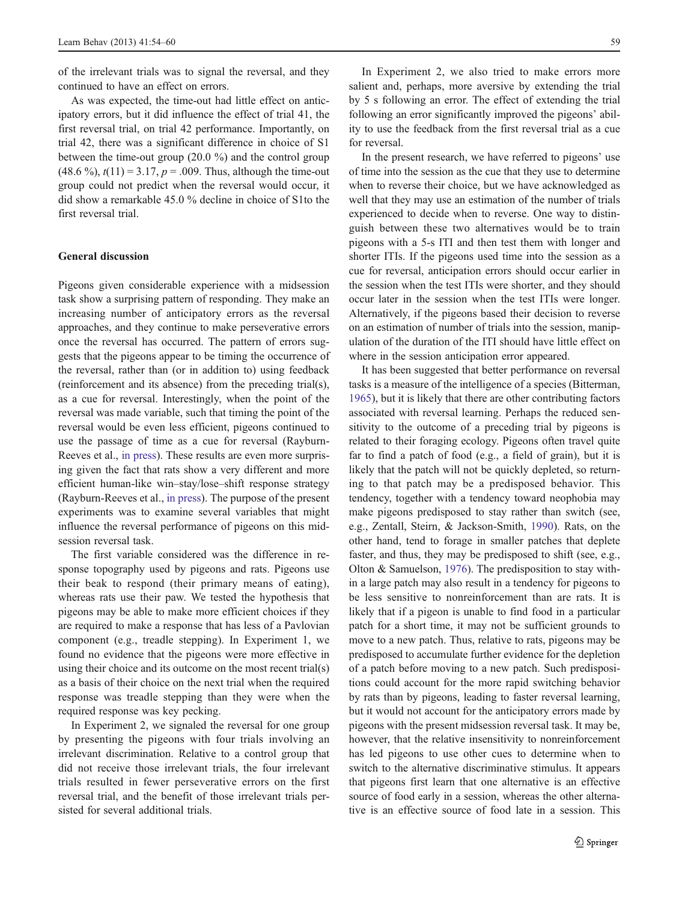of the irrelevant trials was to signal the reversal, and they continued to have an effect on errors.

As was expected, the time-out had little effect on anticipatory errors, but it did influence the effect of trial 41, the first reversal trial, on trial 42 performance. Importantly, on trial 42, there was a significant difference in choice of S1 between the time-out group (20.0 %) and the control group  $(48.6\%, t(11) = 3.17, p = .009$ . Thus, although the time-out group could not predict when the reversal would occur, it did show a remarkable 45.0 % decline in choice of S1to the first reversal trial.

## General discussion

Pigeons given considerable experience with a midsession task show a surprising pattern of responding. They make an increasing number of anticipatory errors as the reversal approaches, and they continue to make perseverative errors once the reversal has occurred. The pattern of errors suggests that the pigeons appear to be timing the occurrence of the reversal, rather than (or in addition to) using feedback (reinforcement and its absence) from the preceding trial(s), as a cue for reversal. Interestingly, when the point of the reversal was made variable, such that timing the point of the reversal would be even less efficient, pigeons continued to use the passage of time as a cue for reversal (Rayburn-Reeves et al., [in press](#page-6-0)). These results are even more surprising given the fact that rats show a very different and more efficient human-like win–stay/lose–shift response strategy (Rayburn-Reeves et al., [in press](#page-6-0)). The purpose of the present experiments was to examine several variables that might influence the reversal performance of pigeons on this midsession reversal task.

The first variable considered was the difference in response topography used by pigeons and rats. Pigeons use their beak to respond (their primary means of eating), whereas rats use their paw. We tested the hypothesis that pigeons may be able to make more efficient choices if they are required to make a response that has less of a Pavlovian component (e.g., treadle stepping). In Experiment 1, we found no evidence that the pigeons were more effective in using their choice and its outcome on the most recent trial(s) as a basis of their choice on the next trial when the required response was treadle stepping than they were when the required response was key pecking.

In Experiment 2, we signaled the reversal for one group by presenting the pigeons with four trials involving an irrelevant discrimination. Relative to a control group that did not receive those irrelevant trials, the four irrelevant trials resulted in fewer perseverative errors on the first reversal trial, and the benefit of those irrelevant trials persisted for several additional trials.

In Experiment 2, we also tried to make errors more salient and, perhaps, more aversive by extending the trial by 5 s following an error. The effect of extending the trial following an error significantly improved the pigeons' ability to use the feedback from the first reversal trial as a cue for reversal.

In the present research, we have referred to pigeons' use of time into the session as the cue that they use to determine when to reverse their choice, but we have acknowledged as well that they may use an estimation of the number of trials experienced to decide when to reverse. One way to distinguish between these two alternatives would be to train pigeons with a 5-s ITI and then test them with longer and shorter ITIs. If the pigeons used time into the session as a cue for reversal, anticipation errors should occur earlier in the session when the test ITIs were shorter, and they should occur later in the session when the test ITIs were longer. Alternatively, if the pigeons based their decision to reverse on an estimation of number of trials into the session, manipulation of the duration of the ITI should have little effect on where in the session anticipation error appeared.

It has been suggested that better performance on reversal tasks is a measure of the intelligence of a species (Bitterman, [1965](#page-6-0)), but it is likely that there are other contributing factors associated with reversal learning. Perhaps the reduced sensitivity to the outcome of a preceding trial by pigeons is related to their foraging ecology. Pigeons often travel quite far to find a patch of food (e.g., a field of grain), but it is likely that the patch will not be quickly depleted, so returning to that patch may be a predisposed behavior. This tendency, together with a tendency toward neophobia may make pigeons predisposed to stay rather than switch (see, e.g., Zentall, Steirn, & Jackson-Smith, [1990\)](#page-6-0). Rats, on the other hand, tend to forage in smaller patches that deplete faster, and thus, they may be predisposed to shift (see, e.g., Olton & Samuelson, [1976\)](#page-6-0). The predisposition to stay within a large patch may also result in a tendency for pigeons to be less sensitive to nonreinforcement than are rats. It is likely that if a pigeon is unable to find food in a particular patch for a short time, it may not be sufficient grounds to move to a new patch. Thus, relative to rats, pigeons may be predisposed to accumulate further evidence for the depletion of a patch before moving to a new patch. Such predispositions could account for the more rapid switching behavior by rats than by pigeons, leading to faster reversal learning, but it would not account for the anticipatory errors made by pigeons with the present midsession reversal task. It may be, however, that the relative insensitivity to nonreinforcement has led pigeons to use other cues to determine when to switch to the alternative discriminative stimulus. It appears that pigeons first learn that one alternative is an effective source of food early in a session, whereas the other alternative is an effective source of food late in a session. This